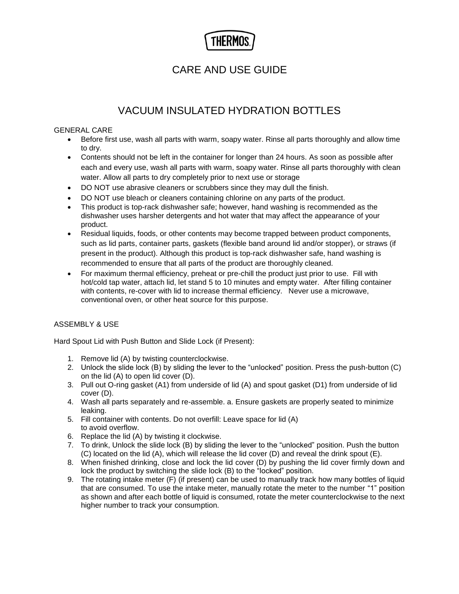# THERMO:

## CARE AND USE GUIDE

# VACUUM INSULATED HYDRATION BOTTLES

### GENERAL CARE

- Before first use, wash all parts with warm, soapy water. Rinse all parts thoroughly and allow time to dry.
- Contents should not be left in the container for longer than 24 hours. As soon as possible after each and every use, wash all parts with warm, soapy water. Rinse all parts thoroughly with clean water. Allow all parts to dry completely prior to next use or storage
- DO NOT use abrasive cleaners or scrubbers since they may dull the finish.
- DO NOT use bleach or cleaners containing chlorine on any parts of the product.
- This product is top-rack dishwasher safe; however, hand washing is recommended as the dishwasher uses harsher detergents and hot water that may affect the appearance of your product.
- Residual liquids, foods, or other contents may become trapped between product components, such as lid parts, container parts, gaskets (flexible band around lid and/or stopper), or straws (if present in the product). Although this product is top-rack dishwasher safe, hand washing is recommended to ensure that all parts of the product are thoroughly cleaned.
- For maximum thermal efficiency, preheat or pre-chill the product just prior to use. Fill with hot/cold tap water, attach lid, let stand 5 to 10 minutes and empty water. After filling container with contents, re-cover with lid to increase thermal efficiency. Never use a microwave, conventional oven, or other heat source for this purpose.

## ASSEMBLY & USE

Hard Spout Lid with Push Button and Slide Lock (if Present):

- 1. Remove lid (A) by twisting counterclockwise.
- 2. Unlock the slide lock (B) by sliding the lever to the "unlocked" position. Press the push-button (C) on the lid (A) to open lid cover (D).
- 3. Pull out O-ring gasket (A1) from underside of lid (A) and spout gasket (D1) from underside of lid cover (D).
- 4. Wash all parts separately and re-assemble. a. Ensure gaskets are properly seated to minimize leaking.
- 5. Fill container with contents. Do not overfill: Leave space for lid (A) to avoid overflow.
- 6. Replace the lid (A) by twisting it clockwise.
- 7. To drink, Unlock the slide lock (B) by sliding the lever to the "unlocked" position. Push the button (C) located on the lid (A), which will release the lid cover (D) and reveal the drink spout (E).
- 8. When finished drinking, close and lock the lid cover (D) by pushing the lid cover firmly down and lock the product by switching the slide lock (B) to the "locked" position.
- 9. The rotating intake meter (F) (if present) can be used to manually track how many bottles of liquid that are consumed. To use the intake meter, manually rotate the meter to the number "1" position as shown and after each bottle of liquid is consumed, rotate the meter counterclockwise to the next higher number to track your consumption.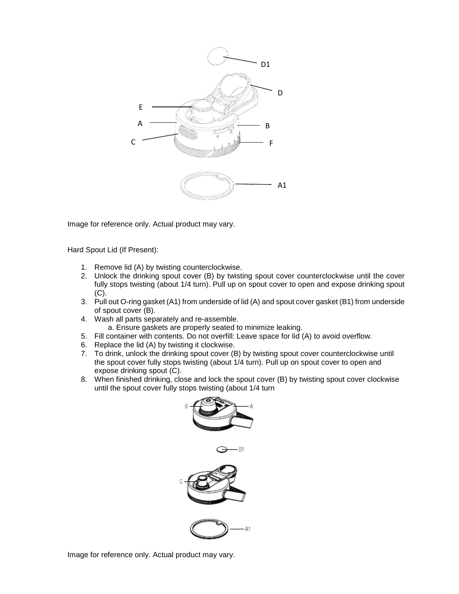

Image for reference only. Actual product may vary.

Hard Spout Lid (If Present):

- 1. Remove lid (A) by twisting counterclockwise.
- 2. Unlock the drinking spout cover (B) by twisting spout cover counterclockwise until the cover fully stops twisting (about 1/4 turn). Pull up on spout cover to open and expose drinking spout (C).
- 3. Pull out O-ring gasket (A1) from underside of lid (A) and spout cover gasket (B1) from underside of spout cover (B).
- 4. Wash all parts separately and re-assemble.
	- a. Ensure gaskets are properly seated to minimize leaking.
- 5. Fill container with contents. Do not overfill: Leave space for lid (A) to avoid overflow.
- 6. Replace the lid (A) by twisting it clockwise.
- 7. To drink, unlock the drinking spout cover (B) by twisting spout cover counterclockwise until the spout cover fully stops twisting (about 1/4 turn). Pull up on spout cover to open and expose drinking spout (C).
- 8. When finished drinking, close and lock the spout cover (B) by twisting spout cover clockwise until the spout cover fully stops twisting (about 1/4 turn



Image for reference only. Actual product may vary.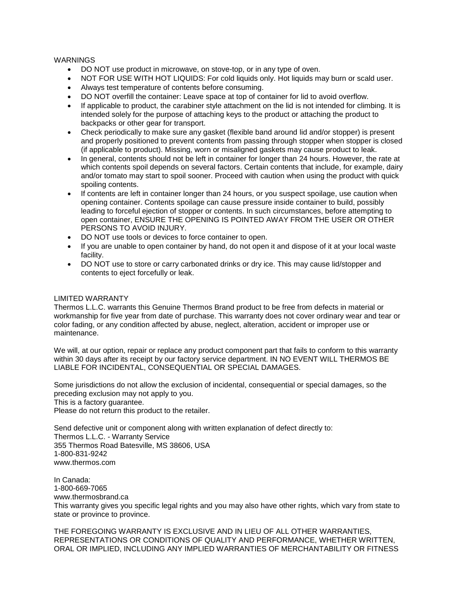#### WARNINGS

- DO NOT use product in microwave, on stove-top, or in any type of oven.
- NOT FOR USE WITH HOT LIQUIDS: For cold liquids only. Hot liquids may burn or scald user.
- Always test temperature of contents before consuming.
- DO NOT overfill the container: Leave space at top of container for lid to avoid overflow.
- If applicable to product, the carabiner style attachment on the lid is not intended for climbing. It is intended solely for the purpose of attaching keys to the product or attaching the product to backpacks or other gear for transport.
- Check periodically to make sure any gasket (flexible band around lid and/or stopper) is present and properly positioned to prevent contents from passing through stopper when stopper is closed (if applicable to product). Missing, worn or misaligned gaskets may cause product to leak.
- In general, contents should not be left in container for longer than 24 hours. However, the rate at which contents spoil depends on several factors. Certain contents that include, for example, dairy and/or tomato may start to spoil sooner. Proceed with caution when using the product with quick spoiling contents.
- If contents are left in container longer than 24 hours, or you suspect spoilage, use caution when opening container. Contents spoilage can cause pressure inside container to build, possibly leading to forceful ejection of stopper or contents. In such circumstances, before attempting to open container, ENSURE THE OPENING IS POINTED AWAY FROM THE USER OR OTHER PERSONS TO AVOID INJURY.
- DO NOT use tools or devices to force container to open.
- If you are unable to open container by hand, do not open it and dispose of it at your local waste facility.
- DO NOT use to store or carry carbonated drinks or dry ice. This may cause lid/stopper and contents to eject forcefully or leak.

#### LIMITED WARRANTY

Thermos L.L.C. warrants this Genuine Thermos Brand product to be free from defects in material or workmanship for five year from date of purchase. This warranty does not cover ordinary wear and tear or color fading, or any condition affected by abuse, neglect, alteration, accident or improper use or maintenance.

We will, at our option, repair or replace any product component part that fails to conform to this warranty within 30 days after its receipt by our factory service department. IN NO EVENT WILL THERMOS BE LIABLE FOR INCIDENTAL, CONSEQUENTIAL OR SPECIAL DAMAGES.

Some jurisdictions do not allow the exclusion of incidental, consequential or special damages, so the preceding exclusion may not apply to you.

This is a factory guarantee.

Please do not return this product to the retailer.

Send defective unit or component along with written explanation of defect directly to: Thermos L.L.C. - Warranty Service 355 Thermos Road Batesville, MS 38606, USA 1-800-831-9242 www.thermos.com

In Canada: 1-800-669-7065 www.thermosbrand.ca This warranty gives you specific legal rights and you may also have other rights, which vary from state to state or province to province.

THE FOREGOING WARRANTY IS EXCLUSIVE AND IN LIEU OF ALL OTHER WARRANTIES, REPRESENTATIONS OR CONDITIONS OF QUALITY AND PERFORMANCE, WHETHER WRITTEN, ORAL OR IMPLIED, INCLUDING ANY IMPLIED WARRANTIES OF MERCHANTABILITY OR FITNESS